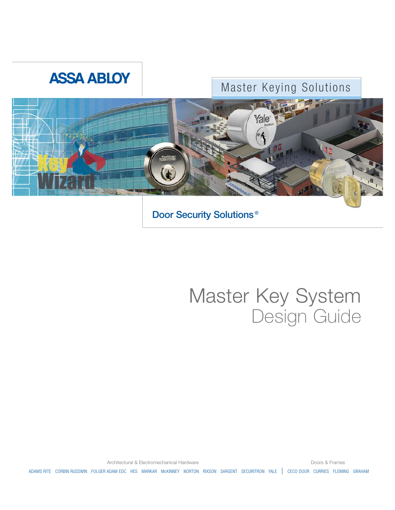# **ASSA ABLOY**

# Master Keying Solutions



**Door Security Solutions ®**

# Master Key System Design Guide

Architectural & Electromechanical Hardware **Doors & Frames** Doors & Frames

ADAMS RITE CORBIN RUSSWIN FOLGER ADAM EDC HES MARKAR McKINNEY NORTON RIXSON SARGENT SECURITRON YALE | CECO DOOR CURRIES FLEMING GRAHAM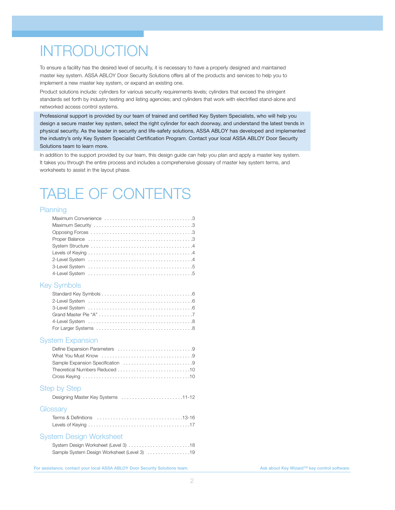# **INTRODUCTION**

To ensure a facility has the desired level of security, it is necessary to have a properly designed and maintained master key system. ASSA ABLOY Door Security Solutions offers all of the products and services to help you to implement a new master key system, or expand an existing one.

Product solutions include: cylinders for various security requirements levels; cylinders that exceed the stringent standards set forth by industry testing and listing agencies; and cylinders that work with electrified stand-alone and networked access control systems.

Professional support is provided by our team of trained and certified Key System Specialists, who will help you design a secure master key system, select the right cylinder for each doorway, and understand the latest trends in physical security. As the leader in security and life-safety solutions, ASSA ABLOY has developed and implemented the industry's only Key System Specialist Certification Program. Contact your local ASSA ABLOY Door Security Solutions team to learn more.

In addition to the support provided by our team, this design guide can help you plan and apply a master key system. It takes you through the entire process and includes a comprehensive glossary of master key system terms, and worksheets to assist in the layout phase.

# TABLE OF CONTENTS

#### Planning

#### Key Symbols

#### System Expansion

#### Step by Step

|  | Designing Master Key Systems 11-12 |
|--|------------------------------------|
|--|------------------------------------|

#### **Glossary**

#### System Design Worksheet

| Sample System Design Worksheet (Level 3) 19 |  |
|---------------------------------------------|--|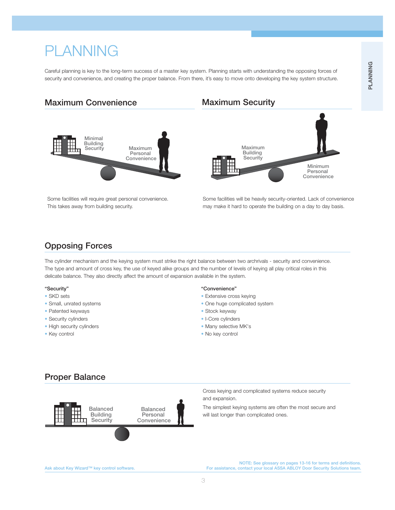# PLANNING

Careful planning is key to the long-term success of a master key system. Planning starts with understanding the opposing forces of security and convenience, and creating the proper balance. From there, it's easy to move onto developing the key system structure.

## **Maximum Convenience**



Some facilities will require great personal convenience. This takes away from building security.

# **Maximum Security**



Some facilities will be heavily security-oriented. Lack of convenience may make it hard to operate the building on a day to day basis.

# **Opposing Forces**

The cylinder mechanism and the keying system must strike the right balance between two archrivals - security and convenience. The type and amount of cross key, the use of keyed alike groups and the number of levels of keying all play critical roles in this delicate balance. They also directly affect the amount of expansion available in the system.

#### **"Security"**

- SKD sets
- Small, unrated systems
- Patented keyways
- Security cylinders
- High security cylinders
- Key control

#### **"Convenience"**

- Extensive cross keying
- One huge complicated system
- Stock keyway
- I-Core cylinders
- Many selective MK's
- No key control

## **Proper Balance**



Cross keying and complicated systems reduce security and expansion.

The simplest keying systems are often the most secure and will last longer than complicated ones.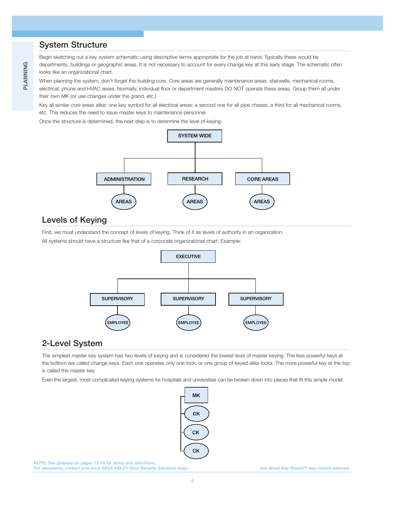# **System Structure**

Begin sketching out a key system schematic using descriptive terms appropriate for the job at hand. Typically these would be departments, buildings or geographic areas. It is not necessary to account for every change key at this early stage. The schematic often looks like an organizational chart.

When planning the system, don't forget the building core. Core areas are generally maintenance areas: stairwells, mechanical rooms, electrical, phone and HVAC areas. Normally, individual floor or department masters DO NOT operate these areas. Group them all under their own MK (or use changes under the grand, etc.)

Key all similar core areas alike: one key symbol for all electrical areas; a second one for all pipe chases; a third for all mechanical rooms, etc. This reduces the need to issue master keys to maintenance personnel.

Once the structure is determined, the next step is to determine the level of keying.



## **Levels of Keying**

First, we must understand the concept of levels of keying. Think of it as levels of authority in an organization.

All systems should have a structure like that of a corporate organizational chart. Example:



# **2-Level System**

The simplest master key system has two levels of keying and is considered the lowest level of master keying. The less powerful keys at the bottom are called change keys. Each one operates only one lock, or one group of keyed alike locks. The more powerful key at the top is called the master key.

Even the largest, most complicated keying systems for hospitals and universities can be broken down into pieces that fit this simple model.

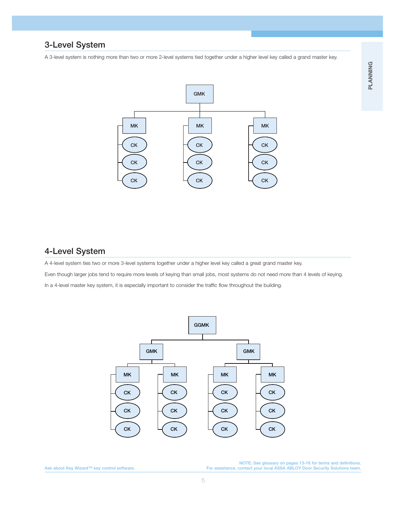## **3-Level System**

A 3-level system is nothing more than two or more 2-level systems tied together under a higher level key called a grand master key.



## **4-Level System**

A 4-level system ties two or more 3-level systems together under a higher level key called a great grand master key.

Even though larger jobs tend to require more levels of keying than small jobs, most systems do not need more than 4 levels of keying. In a 4-level master key system, it is especially important to consider the traffic flow throughout the building.



NOTE: See glossary on pages 13-16 for terms and definitions.<br>.For assistance, contact your local ASSA ABLOY Door Security Solutions team. هو For assistance, contact your local ASSA ABLOY Door Security Solutions team.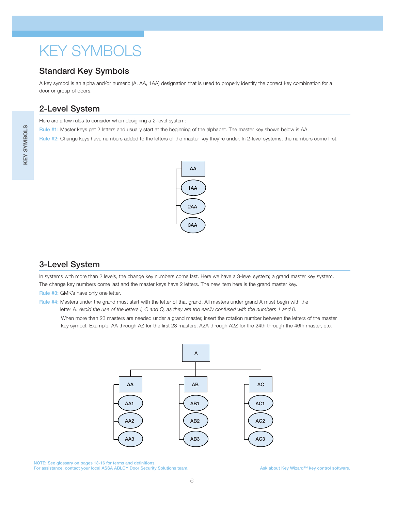# KEY SYMBOLS

# **Standard Key Symbols**

A key symbol is an alpha and/or numeric (A, AA, 1AA) designation that is used to properly identify the correct key combination for a door or group of doors.

# **2-Level System**

Here are a few rules to consider when designing a 2-level system:

**Rule #1:** Master keys get 2 letters and usually start at the beginning of the alphabet. The master key shown below is AA.

**Rule #2:** Change keys have numbers added to the letters of the master key they're under. In 2-level systems, the numbers come first.



# **3-Level System**

In systems with more than 2 levels, the change key numbers come last. Here we have a 3-level system; a grand master key system. The change key numbers come last and the master keys have 2 letters. The new item here is the grand master key.

**Rule #3:** GMK's have only one letter.

**Rule #4:** Masters under the grand must start with the letter of that grand. All masters under grand A must begin with the letter A. *Avoid the use of the letters I, O and Q, as they are too easily confused with the numbers 1 and 0.* When more than 23 masters are needed under a grand master, insert the rotation number between the letters of the master key symbol. Example: AA through AZ for the first 23 masters, A2A through A2Z for the 24th through the 46th master, etc.



**NOTE: See glossary on pages 13-16 for terms and definitions. For assistance, contact your local ASSA ABLOY Door Security Solutions team.** Ask about Key Wizard™ key control software.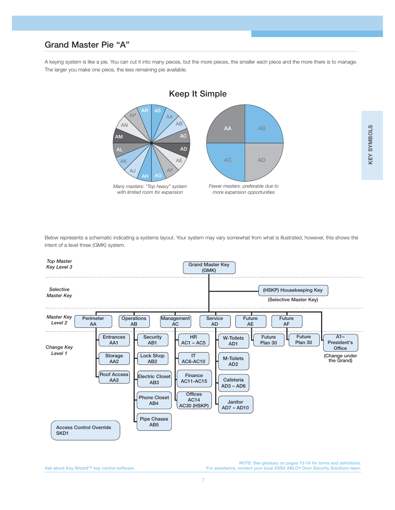## **Grand Master Pie "A"**

A keying system is like a pie. You can cut it into many pieces, but the more pieces, the smaller each piece and the more there is to manage. The larger you make one piece, the less remaining pie available.



Below represents a schematic indicating a systems layout. Your system may vary somewhat from what is illustrated, however, this shows the intent of a level three (GMK) system.

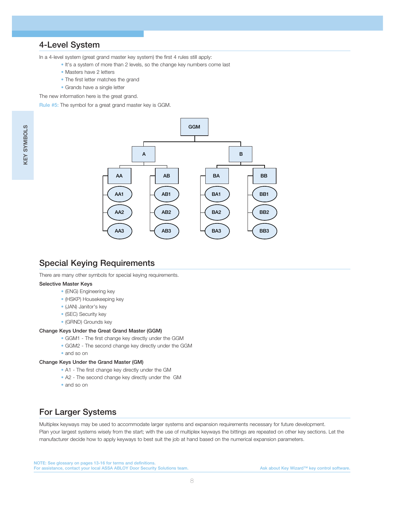# **4-Level System**

In a 4-level system (great grand master key system) the first 4 rules still apply:

- It's a system of more than 2 levels, so the change key numbers come last
- Masters have 2 letters
- The first letter matches the grand
- Grands have a single letter

The new information here is the great grand.

**Rule #5:** The symbol for a great grand master key is GGM.



# **Special Keying Requirements**

There are many other symbols for special keying requirements.

#### **Selective Master Keys**

- (ENG) Engineering key
- (HSKP) Housekeeping key
- (JAN) Janitor's key
- (SEC) Security key
- (GRND) Grounds key

#### **Change Keys Under the Great Grand Master (GGM)**

- GGM1 The first change key directly under the GGM
- GGM2 The second change key directly under the GGM
- and so on

#### **Change Keys Under the Grand Master (GM)**

- A1 The first change key directly under the GM
- A2 The second change key directly under the GM
- and so on

# **For Larger Systems**

Multiplex keyways may be used to accommodate larger systems and expansion requirements necessary for future development. Plan your largest systems wisely from the start; with the use of multiplex keyways the bittings are repeated on other key sections. Let the manufacturer decide how to apply keyways to best suit the job at hand based on the numerical expansion parameters.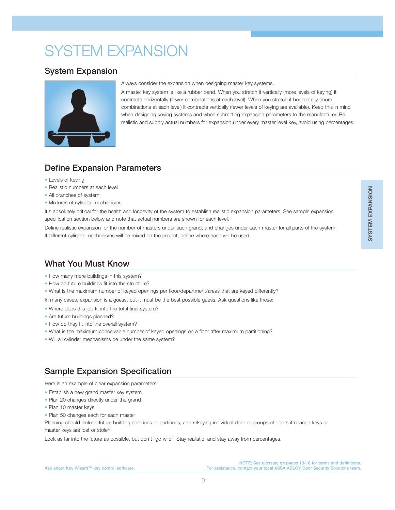# SYSTEM EXPANSION

## **System Expansion**



#### Always consider the expansion when designing master key systems.

A master key system is like a rubber band. When you stretch it vertically (more levels of keying) it contracts horizontally (fewer combinations at each level). When you stretch it horizontally (more combinations at each level) it contracts vertically (fewer levels of keying are available). Keep this in mind when designing keying systems and when submitting expansion parameters to the manufacturer. Be realistic and supply actual numbers for expansion under every master level key, avoid using percentages.

# **Define Expansion Parameters**

- Levels of keying
- Realistic numbers at each level
- All branches of system
- Mixtures of cylinder mechanisms

It's absolutely critical for the health and longevity of the system to establish realistic expansion parameters. See sample expansion specification section below and note that actual numbers are shown for each level.

Define realistic expansion for the number of masters under each grand, and changes under each master for all parts of the system. If different cylinder mechanisms will be mixed on the project, define where each will be used.

# **What You Must Know**

- How many more buildings in this system?
- How do future buildings fit into the structure?
- What is the maximum number of keyed openings per floor/department/areas that are keyed differently?

In many cases, expansion is a guess, but it must be the best possible guess. Ask questions like these:

- Where does this job fit into the total final system?
- Are future buildings planned?
- How do they fit into the overall system?
- What is the maximum conceivable number of keyed openings on a floor after maximum partitioning?
- Will all cylinder mechanisms be under the same system?

# **Sample Expansion Specification**

Here is an example of clear expansion parameters.

- Establish a new grand master key system
- Plan 20 changes directly under the grand
- Plan 10 master keys
- Plan 50 changes each for each master

Planning should include future building additions or partitions, and rekeying individual door or groups of doors if change keys or master keys are lost or stolen.

Look as far into the future as possible, but don't "go wild". Stay realistic, and stay away from percentages.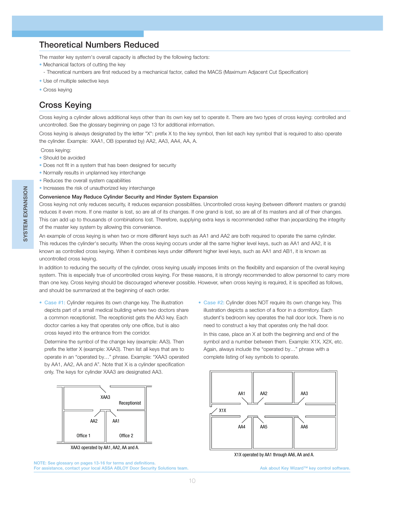# **Theoretical Numbers Reduced**

The master key system's overall capacity is affected by the following factors:

- Mechanical factors of cutting the key
- Theoretical numbers are first reduced by a mechanical factor, called the MACS (Maximum Adjacent Cut Specification)
- Use of multiple selective keys
- Cross keying

# **Cross Keying**

Cross keying a cylinder allows additional keys other than its own key set to operate it. There are two types of cross keying: controlled and uncontrolled. See the glossary beginning on page 13 for additional information.

Cross keying is always designated by the letter "X": prefix X to the key symbol, then list each key symbol that is required to also operate the cylinder. Example: XAA1, OB (operated by) AA2, AA3, AA4, AA, A.

Cross keying:

- Should be avoided
- Does not fit in a system that has been designed for security
- Normally results in unplanned key interchange
- Reduces the overall system capabilities
- Increases the risk of unauthorized key interchange

#### **Convenience May Reduce Cylinder Security and Hinder System Expansion**

Cross keying not only reduces security, it reduces expansion possibilities. Uncontrolled cross keying (between different masters or grands) reduces it even more. If one master is lost, so are all of its changes. If one grand is lost, so are all of its masters and all of their changes. This can add up to thousands of combinations lost. Therefore, supplying extra keys is recommended rather than jeopardizing the integrity of the master key system by allowing this convenience.

An example of cross keying is when two or more different keys such as AA1 and AA2 are both required to operate the same cylinder. This reduces the cylinder's security. When the cross keying occurs under all the same higher level keys, such as AA1 and AA2, it is known as controlled cross keying. When it combines keys under different higher level keys, such as AA1 and AB1, it is known as uncontrolled cross keying.

In addition to reducing the security of the cylinder, cross keying usually imposes limits on the flexibility and expansion of the overall keying system. This is especially true of uncontrolled cross keying. For these reasons, it is strongly recommended to allow personnel to carry more than one key. Cross keying should be discouraged whenever possible. However, when cross keying is required, it is specified as follows, and should be summarized at the beginning of each order.

**• Case #1:** Cylinder requires its own change key. The illustration depicts part of a small medical building where two doctors share a common receptionist. The receptionist gets the AA3 key. Each doctor carries a key that operates only one office, but is also cross keyed into the entrance from the corridor.

Determine the symbol of the change key (example: AA3). Then prefix the letter X (example: XAA3). Then list all keys that are to operate in an "operated by…" phrase. Example: "XAA3 operated by AA1, AA2, AA and A". Note that X is a cylinder specification only. The keys for cylinder XAA3 are designated AA3.



XAA3 operated by AA1, AA2, AA and A.



**• Case #2:** Cylinder does NOT require its own change key. This illustration depicts a section of a floor in a dormitory. Each student's bedroom key operates the hall door lock. There is no need to construct a key that operates only the hall door.

In this case, place an X at both the beginning and end of the symbol and a number between them. Example: X1X, X2X, etc. Again, always include the "operated by…" phrase with a complete listing of key symbols to operate.



X1X operated by AA1 through AA6, AA and A.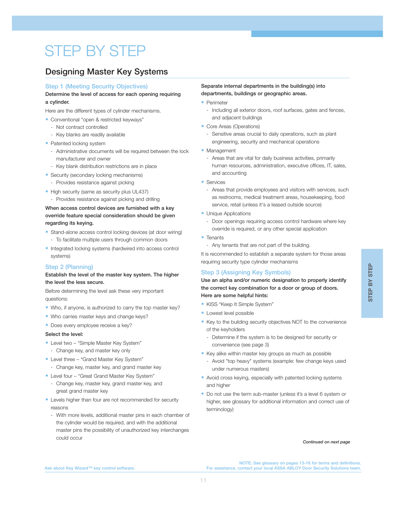# STEP BY STEP

# **Designing Master Key Systems**

#### **Step 1 (Meeting Security Objectives)**

#### **Determine the level of access for each opening requiring a cylinder.**

Here are the different types of cylinder mechanisms.

- **•** Conventional "open & restricted keyways"
	- Not contract controlled
	- Key blanks are readily available
- **•** Patented locking system
	- Administrative documents will be required between the lock manufacturer and owner
	- Key blank distribution restrictions are in place
- **•** Security (secondary locking mechanisms)
	- Provides resistance against picking
- **•** High security (same as security plus UL437)
- Provides resistance against picking and drilling

#### **When access control devices are furnished with a key override feature special consideration should be given regarding its keying.**

- **•** Stand-alone access control locking devices (at door wiring) - To facilitate multiple users through common doors
- **•** Integrated locking systems (hardwired into access control systems)

#### **Step 2 (Planning)**

#### **Establish the level of the master key system. The higher the level the less secure.**

Before determining the level ask these very important questions:

- **•** Who, if anyone, is authorized to carry the top master key?
- **•** Who carries master keys and change keys?
- **•** Does every employee receive a key?

#### **Select the level:**

- **•** Level two "Simple Master Key System" - Change key, and master key only
- **•** Level three "Grand Master Key System"
	- Change key, master key, and grand master key
- **•** Level four "Great Grand Master Key System"
	- Change key, master key, grand master key, and great grand master key
- **•** Levels higher than four are not recommended for security reasons
	- With more levels, additional master pins in each chamber of the cylinder would be required, and with the additional master pins the possibility of unauthorized key interchanges could occur

#### **Separate internal departments in the building(s) into departments, buildings or geographic areas.**

- **•** Perimeter
	- Including all exterior doors, roof surfaces, gates and fences, and adjacent buildings
- Core Areas (Operations)
	- Sensitive areas crucial to daily operations, such as plant engineering, security and mechanical operations
- **•** Management
	- Areas that are vital for daily business activities, primarily human resources, administration, executive offices, IT, sales, and accounting
- **•** Services
	- Areas that provide employees and visitors with services, such as restrooms, medical treatment areas, housekeeping, food service, retail (unless it's a leased outside source)
- **•** Unique Applications
- Door openings requiring access control hardware where key override is required, or any other special application
- **•** Tenants
- Any tenants that are not part of the building.

It is recommended to establish a separate system for those areas requiring security type cylinder mechanisms

#### **Step 3 (Assigning Key Symbols)**

**Use an alpha and/or numeric designation to properly identify the correct key combination for a door or group of doors. Here are some helpful hints:**

- **•** KISS "Keep It Simple System"
- **•** Lowest level possible
- **•** Key to the building security objectives NOT to the convenience of the keyholders
	- Determine if the system is to be designed for security or convenience (see page 3)
- **•** Key alike within master key groups as much as possible
	- Avoid "top heavy" systems (example: few change keys used under numerous masters)
- **•** Avoid cross keying, especially with patented locking systems and higher
- **•** Do not use the term sub-master (unless it's a level 6 system or higher, see glossary for additional information and correct use of terminology)

#### *Continued on next page*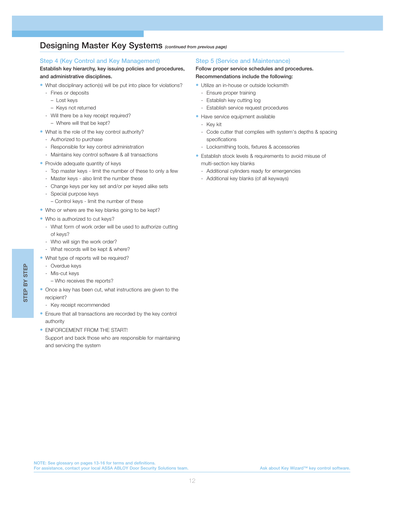## **Designing Master Key Systems** *(continued from previous page)*

#### **Step 4 (Key Control and Key Management)**

#### **Establish key hierarchy, key issuing policies and procedures, and administrative disciplines.**

- **•** What disciplinary action(s) will be put into place for violations?
	- Fines or deposits
		- Lost keys
		- Keys not returned
	- Will there be a key receipt required?
		- Where will that be kept?
- **•** What is the role of the key control authority?
	- Authorized to purchase
	- Responsible for key control administration
	- Maintains key control software & all transactions
- Provide adequate quantity of keys
	- Top master keys limit the number of these to only a few
	- Master keys also limit the number these
	- Change keys per key set and/or per keyed alike sets
	- Special purpose keys
	- Control keys limit the number of these
- **•** Who or where are the key blanks going to be kept?
- **•** Who is authorized to cut keys?
	- What form of work order will be used to authorize cutting of keys?
	- Who will sign the work order?
	- What records will be kept & where?
- **•** What type of reports will be required?
	- Overdue keys
	- Mis-cut keys
		- Who receives the reports?
- **•** Once a key has been cut, what instructions are given to the recipient?
	- Key receipt recommended
- **•** Ensure that all transactions are recorded by the key control authority
- **•** ENFORCEMENT FROM THE START! Support and back those who are responsible for maintaining and servicing the system

#### **Step 5 (Service and Maintenance)**

#### **Follow proper service schedules and procedures. Recommendations include the following:**

- **•** Utilize an in-house or outside locksmith
	- Ensure proper training
	- Establish key cutting log
	- Establish service request procedures
- **•** Have service equipment available
- Key kit
- Code cutter that complies with system's depths & spacing specifications
- Locksmithing tools, fixtures & accessories
- **•** Establish stock levels & requirements to avoid misuse of multi-section key blanks
	- Additional cylinders ready for emergencies
	- Additional key blanks (of all keyways)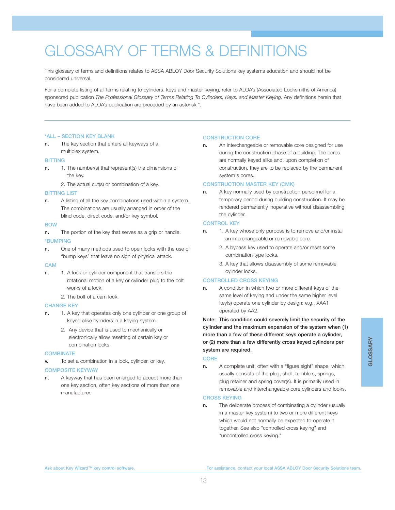# GLOSSARY OF TERMS & DEFINITIONS

This glossary of terms and definitions relates to ASSA ABLOY Door Security Solutions key systems education and should not be considered universal.

For a complete listing of all terms relating to cylinders, keys and master keying, refer to ALOA's (Associated Locksmiths of America) sponsored publication *The Professional Glossary of Terms Relating To Cylinders, Keys, and Master Keying. Any definitions herein that* have been added to ALOA's publication are preceded by an asterisk \*.

#### **\*ALL – SECTION KEY BLANK**

**n.** The key section that enters all keyways of a multiplex system.

#### **BITTING**

- **n.** 1. The number(s) that represent(s) the dimensions of the key.
	- 2. The actual cut(s) or combination of a key.

#### **BITTING LIST**

**n.** A listing of all the key combinations used within a system. The combinations are usually arranged in order of the blind code, direct code, and/or key symbol.

#### **BOW**

- **n.** The portion of the key that serves as a grip or handle. **\*BUMPING**
- **n.** One of many methods used to open locks with the use of "bump keys" that leave no sign of physical attack.

#### **CAM**

- **n.** 1. A lock or cylinder component that transfers the rotational motion of a key or cylinder plug to the bolt works of a lock.
	- 2. The bolt of a cam lock.

#### **CHANGE KEY**

- **n.** 1. A key that operates only one cylinder or one group of keyed alike cylinders in a keying system.
	- 2. Any device that is used to mechanically or electronically allow resetting of certain key or combination locks.

#### **COMBINATE**

**v.** To set a combination in a lock, cylinder, or key.

#### **COMPOSITE KEYWAY**

**n.** A keyway that has been enlarged to accept more than one key section, often key sections of more than one manufacturer.

#### **CONSTRUCTION CORE**

**n.** An interchangeable or removable core designed for use during the construction phase of a building. The cores are normally keyed alike and, upon completion of construction, they are to be replaced by the permanent system's cores.

#### **CONSTRUCTION MASTER KEY (CMK)**

**n.** A key normally used by construction personnel for a temporary period during building construction. It may be rendered permanently inoperative without disassembling the cylinder.

#### **CONTROL KEY**

- **n.** 1. A key whose only purpose is to remove and/or install an interchangeable or removable core.
	- 2. A bypass key used to operate and/or reset some combination type locks.
	- 3. A key that allows disassembly of some removable cylinder locks.

#### **CONTROLLED CROSS KEYING**

**n.** A condition in which two or more different keys of the same level of keying and under the same higher level key(s) operate one cylinder by design: e.g., XAA1 operated by AA2.

**Note: This condition could severely limit the security of the cylinder and the maximum expansion of the system when (1) more than a few of these different keys operate a cylinder, or (2) more than a few differently cross keyed cylinders per system are required.**

#### **CORE**

**n.** A complete unit, often with a "figure eight" shape, which usually consists of the plug, shell, tumblers, springs, plug retainer and spring cover(s). It is primarily used in removable and interchangeable core cylinders and looks.

#### **CROSS KEYING**

**n.** The deliberate process of combinating a cylinder (usually in a master key system) to two or more different keys which would not normally be expected to operate it together. See also "controlled cross keying" and "uncontrolled cross keying."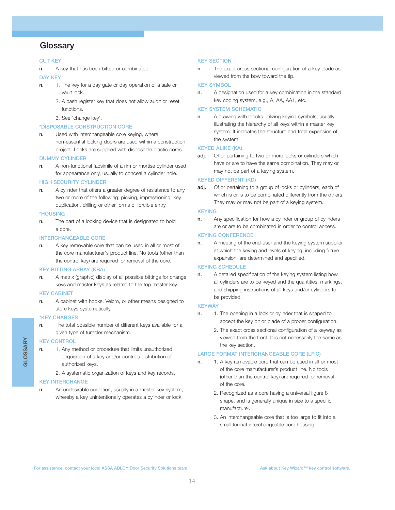### **Glossary**

#### **CUT KEY**

**n.** A key that has been bitted or combinated.

#### **DAY KEY**

- **n.** 1. The key for a day gate or day operation of a safe or vault lock.
	- 2. A cash register key that does not allow audit or reset functions.
	- 3. See 'change key'.

#### **\*DISPOSABLE CONSTRUCTION CORE**

**n.** Used with interchangeable core keying, where non-essential locking doors are used within a construction project. Locks are supplied with disposable plastic cores.

#### **DUMMY CYLINDER**

**n.** A non-functional facsimile of a rim or mortise cylinder used for appearance only, usually to conceal a cylinder hole.

#### **HIGH SECURITY CYLINDER**

**n.** A cylinder that offers a greater degree of resistance to any two or more of the following: picking, impressioning, key duplication, drilling or other forms of forcible entry.

#### **\*HOUSING**

**n.** The part of a locking device that is designated to hold a core.

#### **INTERCHANGEABLE CORE**

**n.** A key removable core that can be used in all or most of the core manufacturer's product line. No tools (other than the control key) are required for removal of the core.

#### **KEY BITTING ARRAY (KBA)**

**n.** A matrix (graphic) display of all possible bittings for change keys and master keys as related to the top master key.

#### **KEY CABINET**

**n.** A cabinet with hooks, Velcro, or other means designed to store keys systematically.

#### **\*KEY CHANGES**

**n.** The total possible number of different keys available for a given type of tumbler mechanism.

#### **KEY CONTROL**

**GLOSSARY**

**GLOSSARY** 

- **n.** 1. Any method or procedure that limits unauthorized acquisition of a key and/or controls distribution of authorized keys.
	- 2. A systematic organization of keys and key records.

#### **KEY INTERCHANGE**

**n.** An undesirable condition, usually in a master key system, whereby a key unintentionally operates a cylinder or lock.

#### **KEY SECTION**

**n.** The exact cross sectional configuration of a key blade as viewed from the bow toward the tip.

#### **KEY SYMBOL**

**n.** A designation used for a key combination in the standard key coding system, e.g., A, AA, AA1, etc.

#### **KEY SYSTEM SCHEMATIC**

**n.** A drawing with blocks utilizing keying symbols, usually illustrating the hierarchy of all keys within a master key system. It indicates the structure and total expansion of the system.

#### **KEYED ALIKE (KA)**

adj. Of or pertaining to two or more looks or cylinders which have or are to have the same combination. They may or may not be part of a keying system.

#### **KEYED DIFFERENT (KD)**

**adj.** Of or pertaining to a group of locks or cylinders, each of which is or is to be combinated differently from the others. They may or may not be part of a keying system.

#### **KEYING**

**n.** Any specification for how a cylinder or group of cylinders are or are to be combinated in order to control access.

#### **KEYING CONFERENCE**

**n.** A meeting of the end-user and the keying system supplier at which the keying and levels of keying, including future expansion, are determined and specified.

#### **KEYING SCHEDULE**

**n.** A detailed specification of the keying system listing how all cylinders are to be keyed and the quantities, markings, and shipping instructions of all keys and/or cylinders to be provided.

#### **KEYWAY**

- **n.** 1. The opening in a lock or cylinder that is shaped to accept the key bit or blade of a proper configuration.
	- 2. The exact cross sectional configuration of a keyway as viewed from the front. It is not necessarily the same as the key section.

#### **LARGE FORMAT INTERCHANGEABLE CORE (LFIC)**

- **n.** 1. A key removable core that can be used in all or most of the core manufacturer's product line. No tools (other than the control key) are required for removal of the core.
	- 2. Recognized as a core having a universal figure 8 shape, and is generally unique in size to a specific manufacturer.
	- 3. An interchangeable core that is too large to fit into a small format interchangeable core housing.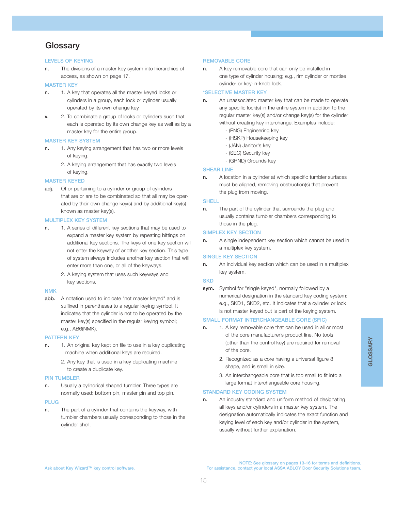## **Glossary**

#### **LEVELS OF KEYING**

**n.** The divisions of a master key system into hierarchies of access, as shown on page 17.

#### **MASTER KEY**

- **n.** 1. A key that operates all the master keyed locks or cylinders in a group, each lock or cylinder usually operated by its own change key.
- **v.** 2. To combinate a group of locks or cylinders such that each is operated by its own change key as well as by a master key for the entire group.

#### **MASTER KEY SYSTEM**

- **n.** 1. Any keying arrangement that has two or more levels of keying.
	- 2. A keying arrangement that has exactly two levels of keying.

#### **MASTER KEYED**

**adj.** Of or pertaining to a cylinder or group of cylinders that are or are to be combinated so that all may be operated by their own change key(s) and by additional key(s) known as master key(s).

#### **MULTIPLEX KEY SYSTEM**

- **n.** 1. A series of different key sections that may be used to expand a master key system by repeating bittings on additional key sections. The keys of one key section will not enter the keyway of another key section. This type of system always includes another key section that will enter more than one, or all of the keyways.
	- 2. A keying system that uses such keyways and key sections.

#### **NMK**

**abb.** A notation used to indicate "not master keyed" and is suffixed in parentheses to a regular keying symbol. It indicates that the cylinder is not to be operated by the master key(s) specified in the regular keying symbol; e.g., AB6(NMK).

#### **PATTERN KEY**

- **n.** 1. An original key kept on file to use in a key duplicating machine when additional keys are required.
	- 2. Any key that is used in a key duplicating machine to create a duplicate key.

#### **PIN TUMBLER**

**n.** Usually a cylindrical shaped tumbler. Three types are normally used: bottom pin, master pin and top pin.

#### **PLUG**

**n.** The part of a cylinder that contains the keyway, with tumbler chambers usually corresponding to those in the cylinder shell.

#### **REMOVABLE CORE**

**n.** A key removable core that can only be installed in one type of cylinder housing; e.g., rim cylinder or mortise cylinder or key-in-knob lock.

#### **\*SELECTIVE MASTER KEY**

- **n.** An unassociated master key that can be made to operate any specific lock(s) in the entire system in addition to the regular master key(s) and/or change key(s) for the cylinder without creating key interchange. Examples include:
	- (ENG) Engineering key
	- (HSKP) Housekeeping key
	- (JAN) Janitor's key
	- (SEC) Security key
	- (GRND) Grounds key

#### **SHEAR LINE**

**n.** A location in a cylinder at which specific tumbler surfaces must be aligned, removing obstruction(s) that prevent the plug from moving.

#### **SHELL**

**n.** The part of the cylinder that surrounds the plug and usually contains tumbler chambers corresponding to those in the plug.

#### **SIMPLEX KEY SECTION**

**n.** A single independent key section which cannot be used in a multiplex key system.

#### **SINGLE KEY SECTION**

**n.** An individual key section which can be used in a multiplex key system.

#### **SKD**

**sym.** Symbol for "single keyed", normally followed by a numerical designation in the standard key coding system; e.g., SKD1, SKD2, etc. It indicates that a cylinder or lock is not master keyed but is part of the keying system.

#### **SMALL FORMAT INTERCHANGEABLE CORE (SFIC)**

- **n.** 1. A key removable core that can be used in all or most of the core manufacturer's product line. No tools (other than the control key) are required for removal of the core.
	- 2. Recognized as a core having a universal figure 8 shape, and is small in size.
	- 3. An interchangeable core that is too small to fit into a large format interchangeable core housing.

#### **STANDARD KEY CODING SYSTEM**

**n.** An industry standard and uniform method of designating all keys and/or cylinders in a master key system. The designation automatically indicates the exact function and keying level of each key and/or cylinder in the system, usually without further explanation.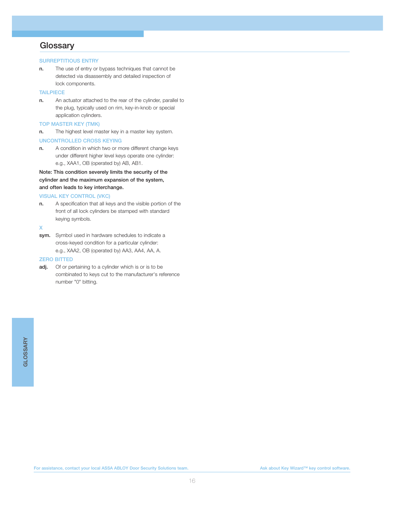## **Glossary**

#### **SURREPTITIOUS ENTRY**

**n.** The use of entry or bypass techniques that cannot be detected via disassembly and detailed inspection of lock components.

#### **TAILPIECE**

**n.** An actuator attached to the rear of the cylinder, parallel to the plug, typically used on rim, key-in-knob or special application cylinders.

#### **TOP MASTER KEY (TMK)**

**n.** The highest level master key in a master key system.

#### **UNCONTROLLED CROSS KEYING**

**n.** A condition in which two or more different change keys under different higher level keys operate one cylinder: e.g., XAA1, OB (operated by) AB, AB1.

**Note: This condition severely limits the security of the cylinder and the maximum expansion of the system, and often leads to key interchange.**

#### **VISUAL KEY CONTROL (VKC)**

**n.** A specification that all keys and the visible portion of the front of all lock cylinders be stamped with standard keying symbols.

#### **X**

**sym.** Symbol used in hardware schedules to indicate a cross-keyed condition for a particular cylinder: e.g., XAA2, OB (operated by) AA3, AA4, AA, A.

#### **ZERO BITTED**

**adj.** Of or pertaining to a cylinder which is or is to be combinated to keys cut to the manufacturer's reference number "0" bitting.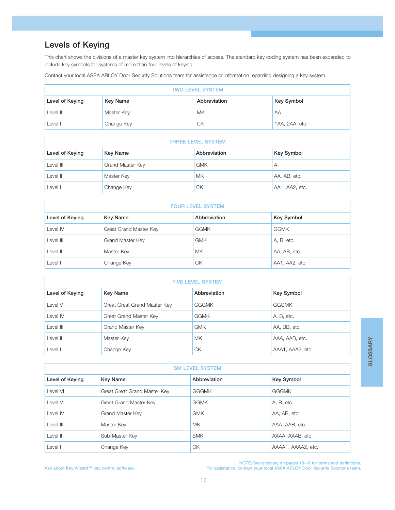# **Levels of Keying**

This chart shows the divisions of a master key system into hierarchies of access. The standard key coding system has been expanded to include key symbols for systems of more than four levels of keying.

Contact your local ASSA ABLOY Door Security Solutions team for assistance or information regarding designing a key system.

| <b>TWO LEVEL SYSTEM</b> |                 |              |                |
|-------------------------|-----------------|--------------|----------------|
| Level of Keying         | <b>Key Name</b> | Abbreviation | Key Symbol     |
| Level II                | Master Key      | <b>MK</b>    | AA             |
| Level I                 | Change Key      | CK           | 1AA, 2AA, etc. |

| <b>THREE LEVEL SYSTEM</b> |                  |              |                |
|---------------------------|------------------|--------------|----------------|
| Level of Keying           | <b>Key Name</b>  | Abbreviation | Key Symbol     |
| Level III                 | Grand Master Key | <b>GMK</b>   | Α              |
| Level II                  | Master Key       | MK           | AA, AB, etc.   |
| Level I                   | Change Key       | СK           | AA1, AA2, etc. |

| <b>FOUR LEVEL SYSTEM</b> |                         |              |                   |
|--------------------------|-------------------------|--------------|-------------------|
| Level of Keying          | <b>Key Name</b>         | Abbreviation | <b>Key Symbol</b> |
| Level IV                 | Great Grand Master Key  | <b>GGMK</b>  | <b>GGMK</b>       |
| Level III                | <b>Grand Master Key</b> | <b>GMK</b>   | A, B, etc.        |
| Level II                 | Master Key              | <b>MK</b>    | AA, AB, etc.      |
| Level I                  | Change Key              | СK           | AA1, AA2, etc.    |

| <b>FIVE LEVEL SYSTEM</b> |                              |              |                   |
|--------------------------|------------------------------|--------------|-------------------|
| Level of Keying          | <b>Key Name</b>              | Abbreviation | <b>Key Symbol</b> |
| Level V                  | Great Great Grand Master Key | <b>GGGMK</b> | <b>GGGMK</b>      |
| Level IV                 | Great Grand Master Key       | <b>GGMK</b>  | A, B, etc.        |
| Level III                | Grand Master Key             | <b>GMK</b>   | AA, BB, etc.      |
| Level II                 | Master Key                   | <b>MK</b>    | AAA, AAB, etc.    |
| Level I                  | Change Key                   | СK           | AAA1, AAA2, etc.  |

| <b>SIX LEVEL SYSTEM</b> |                              |              |                    |
|-------------------------|------------------------------|--------------|--------------------|
| Level of Keying         | <b>Key Name</b>              | Abbreviation | <b>Key Symbol</b>  |
| Level VI                | Great Great Grand Master Key | <b>GGGMK</b> | <b>GGGMK</b>       |
| Level V                 | Great Grand Master Key       | <b>GGMK</b>  | A, B, etc.         |
| Level IV                | <b>Grand Master Key</b>      | <b>GMK</b>   | AA, AB, etc.       |
| Level III               | Master Key                   | <b>MK</b>    | AAA, AAB, etc.     |
| Level II                | Sub-Master Key               | <b>SMK</b>   | AAAA, AAAB, etc.   |
| Level I                 | Change Key                   | <b>CK</b>    | AAAA1, AAAA2, etc. |

NOTE: See glossary on pages 13-16 for terms and definitions.<br>.For assistance, contact your local ASSA ABLOY Door Security Solutions team. هو For assistance, contact your local ASSA ABLOY Door Security Solutions team.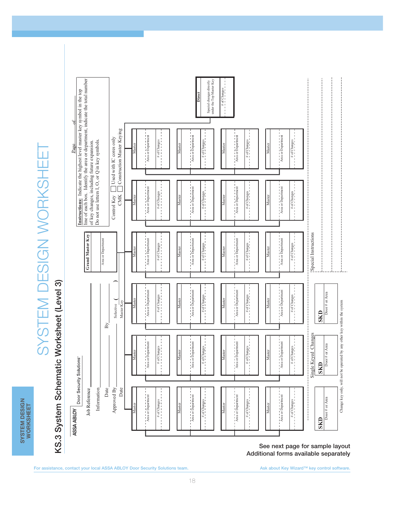**SYSTEM DESIGN SYSTEM DESIGN<br>WORKSHEET WORKSHEET**

# SYSTEM DESIGN WORKSHEET SYSTEM DESIGN WORKSHEET



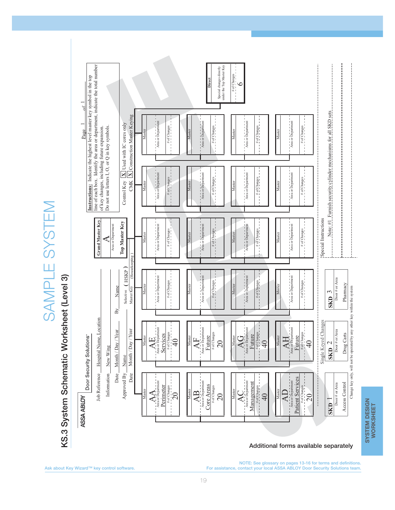

# SYSTEM DESIGN<br>WORKSHEET **SYSTEM DESIGN WORKSHEET**

SAMPLE SYSTEM

SAMPLE SYSTEM

**Additional forms available separately**